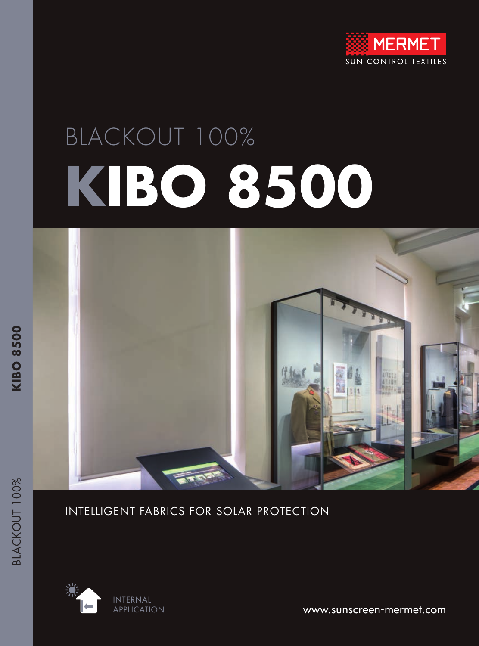

# BLACKOUT 100% **KIBO 8500**



**KIBO 8500** 

#### INTELLIGENT FABRICS FOR SOLAR PROTECTION



www.sunscreen-mermet.com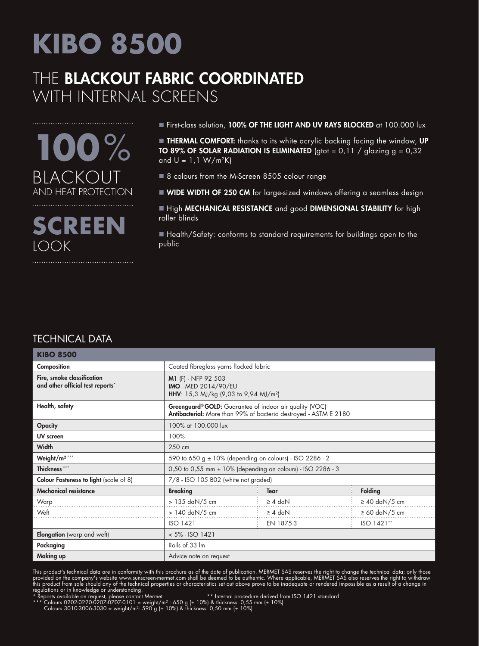## THE BLACKOUT FABRIC COORDINATED WITH INTERNAL SCREENS



First-class solution, 100% OF THE LIGHT AND UV RAYS BLOCKED at 100.000 lux

**THERMAL COMFORT:** thanks to its white acrylic backing facing the window, UP TO 89% OF SOLAR RADIATION IS ELIMINATED (gtot =  $0,11$  / glazing g =  $0,32$ ) and  $U = 1.1 W/m<sup>2</sup>K$ 

- 8 colours from the M-Screen 8505 colour range
- WIDE WIDTH OF 250 CM for large-sized windows offering a seamless design

High MECHANICAL RESISTANCE and good DIMENSIONAL STABILITY for high roller blinds

■ Health/Safety: conforms to standard requirements for buildings open to the public

#### TECHNICAL DATA

| <b>KIBO 8500</b>                                               |                                                                                                                             |              |                    |  |  |
|----------------------------------------------------------------|-----------------------------------------------------------------------------------------------------------------------------|--------------|--------------------|--|--|
| Composition                                                    | Coated fibreglass yarns flocked fabric                                                                                      |              |                    |  |  |
| Fire, smoke classification<br>and other official test reports* | M1 (F) - NFP 92 503<br>IMO - MED 2014/90/EU<br>HHV: 15,3 MJ/kg (9,03 to 9,94 MJ/m <sup>2</sup> )                            |              |                    |  |  |
| Health, safety                                                 | Greenguard® GOLD: Guarantee of indoor air quality (VOC)<br>Antibacterial: More than 99% of bacteria destroyed - ASTM E 2180 |              |                    |  |  |
| <b>Opacity</b>                                                 | 100% at 100.000 lux                                                                                                         |              |                    |  |  |
| UV screen                                                      | 100%                                                                                                                        |              |                    |  |  |
| <b>Width</b>                                                   | 250 cm                                                                                                                      |              |                    |  |  |
| Weight/m <sup>2***</sup>                                       | 590 to 650 g ± 10% (depending on colours) - ISO 2286 - 2                                                                    |              |                    |  |  |
| Thickness ***                                                  | 0,50 to 0,55 mm ± 10% (depending on colours) - ISO 2286 - 3                                                                 |              |                    |  |  |
| <b>Colour Fasteness to light</b> (scale of 8)                  | 7/8 - ISO 105 B02 (white not graded)                                                                                        |              |                    |  |  |
| <b>Mechanical resistance</b>                                   | <b>Breaking</b>                                                                                                             | <b>Tear</b>  | Folding            |  |  |
| Warp                                                           | > 135 daN/5 cm                                                                                                              | $\geq 4$ daN | $\geq 40$ daN/5 cm |  |  |
| Weft                                                           | > 140 daN/5 cm                                                                                                              | $\geq 4$ daN | $\geq 60$ daN/5 cm |  |  |
|                                                                | ISO 1421                                                                                                                    | EN 1875-3    | ISO 1421**         |  |  |
| <b>Elongation</b> (warp and weft)                              | $< 5\% - ISO 1421$                                                                                                          |              |                    |  |  |
| Packaging                                                      | Rolls of 33 Im                                                                                                              |              |                    |  |  |
| Making up                                                      | Advice note on request                                                                                                      |              |                    |  |  |

This product's technical data are in conformity with this brochure as of the date of publication. MERMET SAS reserves the right to change the technical data; only those provided on the company's website www.sunscreen-mermet.com shall be deemed to be authentic. Where applicable, MERMET SAS also reserves the right to withdraw this product from sale should any of the technical properties or characteristics set out above prove to be inadequate or rendered impossible as a result of a change in regulations or in knowledge or understanding.<br>\* Reports available on request, please contact Mermet \*\* Internal procedure derived from ISO 1421 standard

\*\*\* Colours 0202-0220-0207-0707-0101 = weight/m² : 650 g (± 10%) & thickness: 0,55 mm (± 10%) Colours 3010-3006-3030 = weight/m²: 590 g (± 10%) & thickness: 0,50 mm (± 10%)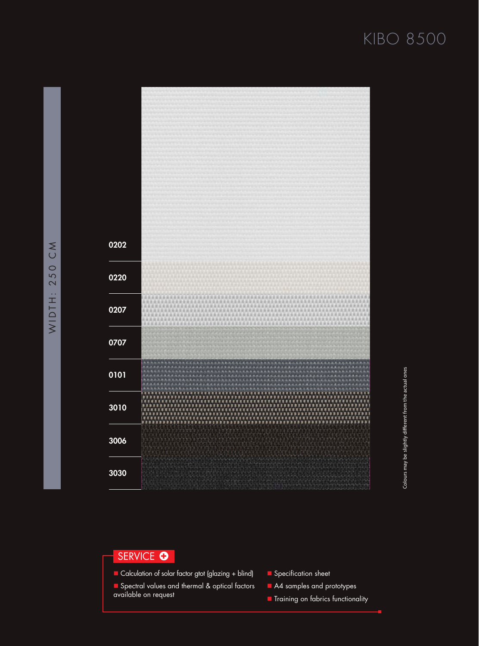

#### SERVICE <sup>O</sup>

- Calculation of solar factor gtot (glazing + blind)
- **n** Spectral values and thermal & optical factors available on request
- **n** Specification sheet
- A4 samples and prototypes
- **n** Training on fabrics functionality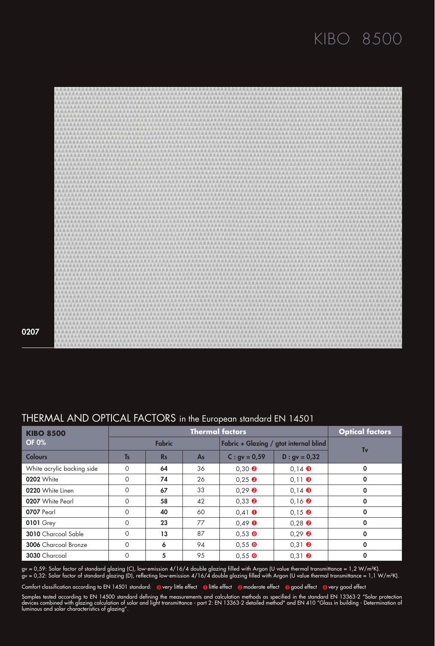

0207

| THERMAL AND OPTICAL FACTORS in the European standard EN 14501 |  |  |  |
|---------------------------------------------------------------|--|--|--|
|                                                               |  |  |  |

| <b>KIBO 8500</b>           | <b>Thermal factors</b> |           |                                        |                                  | <b>Optical factors</b>           |             |  |
|----------------------------|------------------------|-----------|----------------------------------------|----------------------------------|----------------------------------|-------------|--|
| <b>OF 0%</b>               | <b>Fabric</b>          |           | Fabric + Glazing / gtot internal blind |                                  |                                  |             |  |
| <b>Colours</b>             | <b>T<sub>s</sub></b>   | <b>Rs</b> | <b>As</b>                              | $C:$ gv = 0,59                   | $D : gv = 0,32$                  | Tv          |  |
| White acrylic backing side | $\Omega$               | 64        | 36                                     | $0.30$ $\odot$                   | $0.14$ $\odot$                   | 0           |  |
| 0202 White                 | $\circ$                | 74        | 26                                     | $0.25$ <b><math>\odot</math></b> | $0.11$ $\odot$                   | 0           |  |
| 0220 White Linen           | $\Omega$               | 67        | 33                                     | $0.29$ <b><math>\odot</math></b> | $0.14$ $\odot$                   | 0           |  |
| 0207 White Pearl           | $\Omega$               | 58        | 42                                     | $0.33$ $\bullet$                 | $0.16$ $\odot$                   | $\mathbf 0$ |  |
| <b>0707 Pearl</b>          | $\Omega$               | 40        | 60                                     | $0.41$ O                         | $0.15$ $\Theta$                  | 0           |  |
| <b>0101 Grey</b>           | $\Omega$               | 23        | 77                                     | $0,49$ $\bullet$                 | $0.28$ $\bullet$                 | $\mathbf 0$ |  |
| <b>3010</b> Charcoal Sable | $\Omega$               | 13        | 87                                     | $0,53$ O                         | $0.29$ <b><math>\odot</math></b> | $\mathbf 0$ |  |
| 3006 Charcoal Bronze       | $\Omega$               | 6         | 94                                     | $0.55$ O                         | $0.31$ $\odot$                   | $\mathbf 0$ |  |
| 3030 Charcoal              | 0                      | 5         | 95                                     | $0.55$ O                         | $0.31$ $\odot$                   | $\mathbf 0$ |  |

gv = 0,59: Solar factor of standard glazing (C), low-emission 4/16/4 double glazing filled with Argon (U value thermal transmittance = 1,2 W/m²K). gv = 0,32: Solar factor of standard glazing (D), reflecting low-emission 4/16/4 double glazing filled with Argon (U value thermal transmittance = 1,1 W/m²K).

Comfort classification according to EN 14501 standard: overy little effect olittle effect a moderate effect a good effect overy good effect

Samples tested according to EN 14500 standard defining the measurements and calculation methods as specified in the standard EN 13363-2 "Solar protection devices combined with glazing calculation of solar and light transmittance - part 2: EN 13363-2 detailed method" and EN 410 "Glass in building - Determination of luminous and solar characteristics of glazing".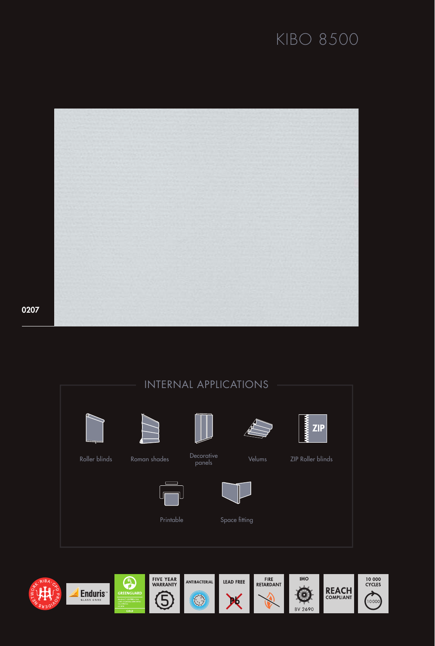